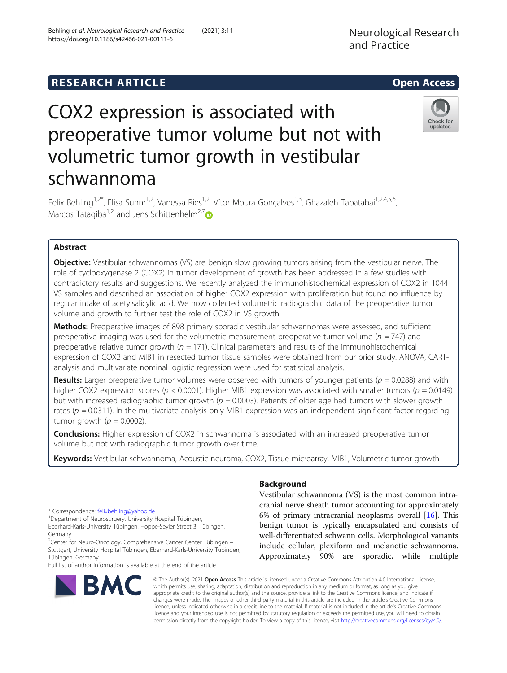https://doi.org/10.1186/s42466-021-00111-6

Behling et al. Neurological Research and Practice (2021) 3:11

# **RESEARCH ARTICLE Example 2014 12:30 The SEAR CH ACCESS**

# COX2 expression is associated with preoperative tumor volume but not with volumetric tumor growth in vestibular schwannoma



Felix Behling<sup>1,2\*</sup>, Elisa Suhm<sup>1,2</sup>, Vanessa Ries<sup>1,2</sup>, Vítor Moura Gonçalves<sup>1,3</sup>, Ghazaleh Tabatabai<sup>1,2,4,5,6</sup>, Marcos Tatagiba<sup>1,2</sup> and Jens Schittenhelm<sup>2,[7](https://orcid.org/0000-0002-9168-6209)</sup>

## Abstract

**Objective:** Vestibular schwannomas (VS) are benign slow growing tumors arising from the vestibular nerve. The role of cyclooxygenase 2 (COX2) in tumor development of growth has been addressed in a few studies with contradictory results and suggestions. We recently analyzed the immunohistochemical expression of COX2 in 1044 VS samples and described an association of higher COX2 expression with proliferation but found no influence by regular intake of acetylsalicylic acid. We now collected volumetric radiographic data of the preoperative tumor volume and growth to further test the role of COX2 in VS growth.

Methods: Preoperative images of 898 primary sporadic vestibular schwannomas were assessed, and sufficient preoperative imaging was used for the volumetric measurement preoperative tumor volume ( $n = 747$ ) and preoperative relative tumor growth ( $n = 171$ ). Clinical parameters and results of the immunohistochemical expression of COX2 and MIB1 in resected tumor tissue samples were obtained from our prior study. ANOVA, CARTanalysis and multivariate nominal logistic regression were used for statistical analysis.

Results: Larger preoperative tumor volumes were observed with tumors of younger patients ( $p = 0.0288$ ) and with higher COX2 expression scores ( $p < 0.0001$ ). Higher MIB1 expression was associated with smaller tumors ( $p = 0.0149$ ) but with increased radiographic tumor growth ( $p = 0.0003$ ). Patients of older age had tumors with slower growth rates ( $p = 0.0311$ ). In the multivariate analysis only MIB1 expression was an independent significant factor regarding tumor growth ( $p = 0.0002$ ).

**Conclusions:** Higher expression of COX2 in schwannoma is associated with an increased preoperative tumor volume but not with radiographic tumor growth over time.

Keywords: Vestibular schwannoma, Acoustic neuroma, COX2, Tissue microarray, MIB1, Volumetric tumor growth

\* Correspondence: [felixbehling@yahoo.de](mailto:felixbehling@yahoo.de) <sup>1</sup>

Department of Neurosurgery, University Hospital Tübingen, Eberhard-Karls-University Tübingen, Hoppe-Seyler Street 3, Tübingen, Germany

<sup>2</sup>Center for Neuro-Oncology, Comprehensive Cancer Center Tübingen -Stuttgart, University Hospital Tübingen, Eberhard-Karls-University Tübingen, Tübingen, Germany

Full list of author information is available at the end of the article



### Background

Vestibular schwannoma (VS) is the most common intracranial nerve sheath tumor accounting for approximately 6% of primary intracranial neoplasms overall [\[16\]](#page-6-0). This benign tumor is typically encapsulated and consists of well-differentiated schwann cells. Morphological variants include cellular, plexiform and melanotic schwannoma. Approximately 90% are sporadic, while multiple

© The Author(s). 2021 Open Access This article is licensed under a Creative Commons Attribution 4.0 International License, which permits use, sharing, adaptation, distribution and reproduction in any medium or format, as long as you give appropriate credit to the original author(s) and the source, provide a link to the Creative Commons licence, and indicate if changes were made. The images or other third party material in this article are included in the article's Creative Commons licence, unless indicated otherwise in a credit line to the material. If material is not included in the article's Creative Commons licence and your intended use is not permitted by statutory regulation or exceeds the permitted use, you will need to obtain permission directly from the copyright holder. To view a copy of this licence, visit [http://creativecommons.org/licenses/by/4.0/.](http://creativecommons.org/licenses/by/4.0/)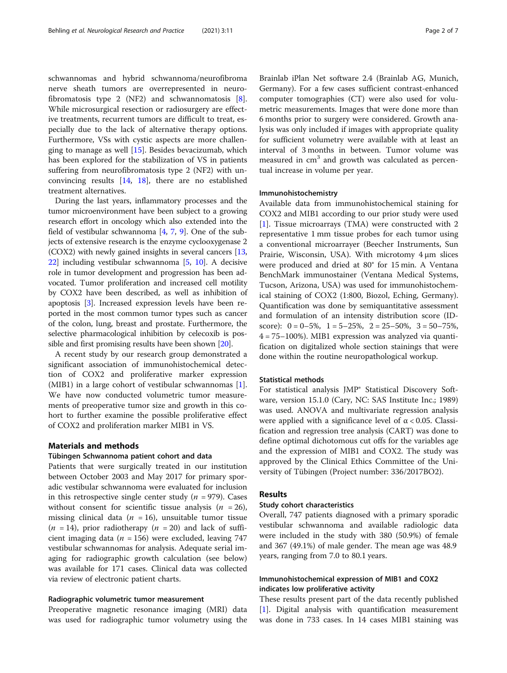schwannomas and hybrid schwannoma/neurofibroma nerve sheath tumors are overrepresented in neurofibromatosis type 2 (NF2) and schwannomatosis [\[8](#page-6-0)]. While microsurgical resection or radiosurgery are effective treatments, recurrent tumors are difficult to treat, especially due to the lack of alternative therapy options. Furthermore, VSs with cystic aspects are more challenging to manage as well [[15\]](#page-6-0). Besides bevacizumab, which has been explored for the stabilization of VS in patients suffering from neurofibromatosis type 2 (NF2) with unconvincing results [[14](#page-6-0), [18\]](#page-6-0), there are no established treatment alternatives.

During the last years, inflammatory processes and the tumor microenvironment have been subject to a growing research effort in oncology which also extended into the field of vestibular schwannoma [\[4,](#page-6-0) [7](#page-6-0), [9\]](#page-6-0). One of the subjects of extensive research is the enzyme cyclooxygenase 2 (COX2) with newly gained insights in several cancers [[13](#page-6-0), [22](#page-6-0)] including vestibular schwannoma [\[5,](#page-6-0) [10\]](#page-6-0). A decisive role in tumor development and progression has been advocated. Tumor proliferation and increased cell motility by COX2 have been described, as well as inhibition of apoptosis [\[3\]](#page-6-0). Increased expression levels have been reported in the most common tumor types such as cancer of the colon, lung, breast and prostate. Furthermore, the selective pharmacological inhibition by celecoxib is possible and first promising results have been shown [\[20\]](#page-6-0).

A recent study by our research group demonstrated a significant association of immunohistochemical detection of COX2 and proliferative marker expression (MIB1) in a large cohort of vestibular schwannomas [\[1](#page-6-0)]. We have now conducted volumetric tumor measurements of preoperative tumor size and growth in this cohort to further examine the possible proliferative effect of COX2 and proliferation marker MIB1 in VS.

#### Materials and methods

#### Tübingen Schwannoma patient cohort and data

Patients that were surgically treated in our institution between October 2003 and May 2017 for primary sporadic vestibular schwannoma were evaluated for inclusion in this retrospective single center study ( $n = 979$ ). Cases without consent for scientific tissue analysis ( $n = 26$ ), missing clinical data ( $n = 16$ ), unsuitable tumor tissue  $(n = 14)$ , prior radiotherapy  $(n = 20)$  and lack of sufficient imaging data ( $n = 156$ ) were excluded, leaving 747 vestibular schwannomas for analysis. Adequate serial imaging for radiographic growth calculation (see below) was available for 171 cases. Clinical data was collected via review of electronic patient charts.

#### Radiographic volumetric tumor measurement

Preoperative magnetic resonance imaging (MRI) data was used for radiographic tumor volumetry using the

Brainlab iPlan Net software 2.4 (Brainlab AG, Munich, Germany). For a few cases sufficient contrast-enhanced computer tomographies (CT) were also used for volumetric measurements. Images that were done more than 6 months prior to surgery were considered. Growth analysis was only included if images with appropriate quality for sufficient volumetry were available with at least an interval of 3 months in between. Tumor volume was measured in  $cm<sup>3</sup>$  and growth was calculated as percentual increase in volume per year.

#### Immunohistochemistry

Available data from immunohistochemical staining for COX2 and MIB1 according to our prior study were used [[1\]](#page-6-0). Tissue microarrays (TMA) were constructed with 2 representative 1 mm tissue probes for each tumor using a conventional microarrayer (Beecher Instruments, Sun Prairie, Wisconsin, USA). With microtomy 4 μm slices were produced and dried at 80° for 15 min. A Ventana BenchMark immunostainer (Ventana Medical Systems, Tucson, Arizona, USA) was used for immunohistochemical staining of COX2 (1:800, Biozol, Eching, Germany). Quantification was done by semiquantitative assessment and formulation of an intensity distribution score (IDscore):  $0 = 0-5\%$ ,  $1 = 5-25\%$ ,  $2 = 25-50\%$ ,  $3 = 50-75\%$ ,  $4 = 75 - 100\%$ ). MIB1 expression was analyzed via quantification on digitalized whole section stainings that were done within the routine neuropathological workup.

#### Statistical methods

For statistical analysis JMP® Statistical Discovery Software, version 15.1.0 (Cary, NC: SAS Institute Inc.; 1989) was used. ANOVA and multivariate regression analysis were applied with a significance level of  $\alpha$  < 0.05. Classification and regression tree analysis (CART) was done to define optimal dichotomous cut offs for the variables age and the expression of MIB1 and COX2. The study was approved by the Clinical Ethics Committee of the University of Tübingen (Project number: 336/2017BO2).

#### Results

#### Study cohort characteristics

Overall, 747 patients diagnosed with a primary sporadic vestibular schwannoma and available radiologic data were included in the study with 380 (50.9%) of female and 367 (49.1%) of male gender. The mean age was 48.9 years, ranging from 7.0 to 80.1 years.

#### Immunohistochemical expression of MIB1 and COX2 indicates low proliferative activity

These results present part of the data recently published [[1\]](#page-6-0). Digital analysis with quantification measurement was done in 733 cases. In 14 cases MIB1 staining was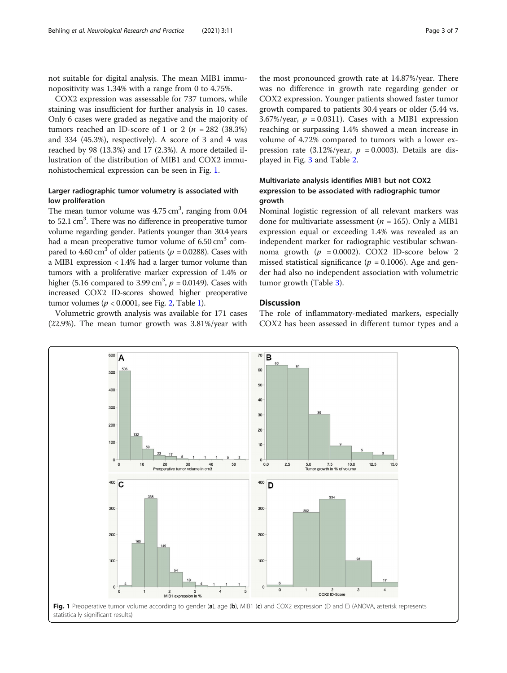not suitable for digital analysis. The mean MIB1 immunopositivity was 1.34% with a range from 0 to 4.75%.

COX2 expression was assessable for 737 tumors, while staining was insufficient for further analysis in 10 cases. Only 6 cases were graded as negative and the majority of tumors reached an ID-score of 1 or 2 ( $n = 282$  (38.3%) and 334 (45.3%), respectively). A score of 3 and 4 was reached by 98 (13.3%) and 17 (2.3%). A more detailed illustration of the distribution of MIB1 and COX2 immunohistochemical expression can be seen in Fig. 1.

#### Larger radiographic tumor volumetry is associated with low proliferation

The mean tumor volume was  $4.75 \text{ cm}^3$ , ranging from 0.04 to 52.1 cm<sup>3</sup>. There was no difference in preoperative tumor volume regarding gender. Patients younger than 30.4 years had a mean preoperative tumor volume of  $6.50 \text{ cm}^3$  compared to 4.60 cm<sup>3</sup> of older patients ( $p = 0.0288$ ). Cases with a MIB1 expression < 1.4% had a larger tumor volume than tumors with a proliferative marker expression of 1.4% or higher (5.16 compared to 3.99 cm<sup>3</sup>,  $p = 0.0149$ ). Cases with increased COX2 ID-scores showed higher preoperative tumor volumes ( $p < 0.0001$ , see Fig. [2,](#page-3-0) Table [1\)](#page-3-0).

Volumetric growth analysis was available for 171 cases (22.9%). The mean tumor growth was 3.81%/year with

the most pronounced growth rate at 14.87%/year. There was no difference in growth rate regarding gender or COX2 expression. Younger patients showed faster tumor growth compared to patients 30.4 years or older (5.44 vs. 3.67%/year,  $p = 0.0311$ ). Cases with a MIB1 expression reaching or surpassing 1.4% showed a mean increase in volume of 4.72% compared to tumors with a lower expression rate  $(3.12\% / \text{year}, p = 0.0003)$ . Details are displayed in Fig. [3](#page-4-0) and Table [2.](#page-5-0)

#### Multivariate analysis identifies MIB1 but not COX2 expression to be associated with radiographic tumor growth

Nominal logistic regression of all relevant markers was done for multivariate assessment ( $n = 165$ ). Only a MIB1 expression equal or exceeding 1.4% was revealed as an independent marker for radiographic vestibular schwannoma growth  $(p = 0.0002)$ . COX2 ID-score below 2 missed statistical significance ( $p = 0.1006$ ). Age and gender had also no independent association with volumetric tumor growth (Table [3\)](#page-5-0).

#### **Discussion**

The role of inflammatory-mediated markers, especially COX2 has been assessed in different tumor types and a

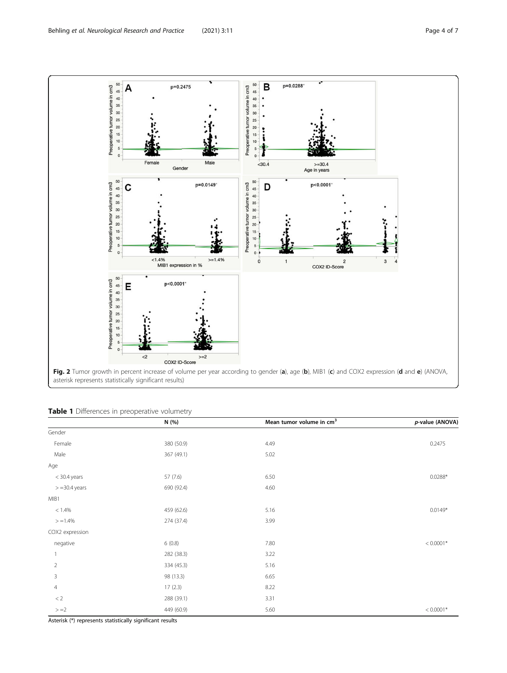<span id="page-3-0"></span>

|  |  |  | Table 1 Differences in preoperative volumetry |  |
|--|--|--|-----------------------------------------------|--|
|--|--|--|-----------------------------------------------|--|

|                  | N(%)       | Mean tumor volume in $cm3$ | p-value (ANOVA) |
|------------------|------------|----------------------------|-----------------|
| Gender           |            |                            |                 |
| Female           | 380 (50.9) | 4.49                       | 0.2475          |
| Male             | 367 (49.1) | 5.02                       |                 |
| Age              |            |                            |                 |
| $<$ 30.4 years   | 57 (7.6)   | 6.50                       | $0.0288*$       |
| $> = 30.4$ years | 690 (92.4) | 4.60                       |                 |
| MIB1             |            |                            |                 |
| $< 1.4\%$        | 459 (62.6) | 5.16                       | $0.0149*$       |
| $> = 1.4\%$      | 274 (37.4) | 3.99                       |                 |
| COX2 expression  |            |                            |                 |
| negative         | 6(0.8)     | 7.80                       | $< 0.0001*$     |
|                  | 282 (38.3) | 3.22                       |                 |
| $\overline{2}$   | 334 (45.3) | 5.16                       |                 |
| 3                | 98 (13.3)  | 6.65                       |                 |
| $\overline{4}$   | 17(2.3)    | 8.22                       |                 |
| $< 2\,$          | 288 (39.1) | 3.31                       |                 |
| $> = 2$          | 449 (60.9) | 5.60                       | $< 0.0001*$     |

Asterisk (\*) represents statistically significant results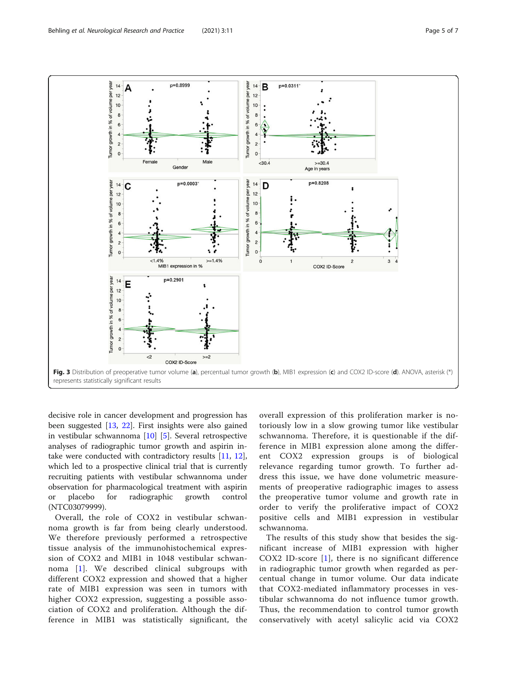<span id="page-4-0"></span>

decisive role in cancer development and progression has been suggested [[13,](#page-6-0) [22\]](#page-6-0). First insights were also gained in vestibular schwannoma [[10](#page-6-0)] [[5](#page-6-0)]. Several retrospective analyses of radiographic tumor growth and aspirin intake were conducted with contradictory results [[11,](#page-6-0) [12](#page-6-0)], which led to a prospective clinical trial that is currently recruiting patients with vestibular schwannoma under observation for pharmacological treatment with aspirin or placebo for radiographic growth control (NTC03079999).

Overall, the role of COX2 in vestibular schwannoma growth is far from being clearly understood. We therefore previously performed a retrospective tissue analysis of the immunohistochemical expression of COX2 and MIB1 in 1048 vestibular schwannoma [[1](#page-6-0)]. We described clinical subgroups with different COX2 expression and showed that a higher rate of MIB1 expression was seen in tumors with higher COX2 expression, suggesting a possible association of COX2 and proliferation. Although the difference in MIB1 was statistically significant, the

overall expression of this proliferation marker is notoriously low in a slow growing tumor like vestibular schwannoma. Therefore, it is questionable if the difference in MIB1 expression alone among the different COX2 expression groups is of biological relevance regarding tumor growth. To further address this issue, we have done volumetric measurements of preoperative radiographic images to assess the preoperative tumor volume and growth rate in order to verify the proliferative impact of COX2 positive cells and MIB1 expression in vestibular schwannoma.

The results of this study show that besides the significant increase of MIB1 expression with higher COX2 ID-score [\[1\]](#page-6-0), there is no significant difference in radiographic tumor growth when regarded as percentual change in tumor volume. Our data indicate that COX2-mediated inflammatory processes in vestibular schwannoma do not influence tumor growth. Thus, the recommendation to control tumor growth conservatively with acetyl salicylic acid via COX2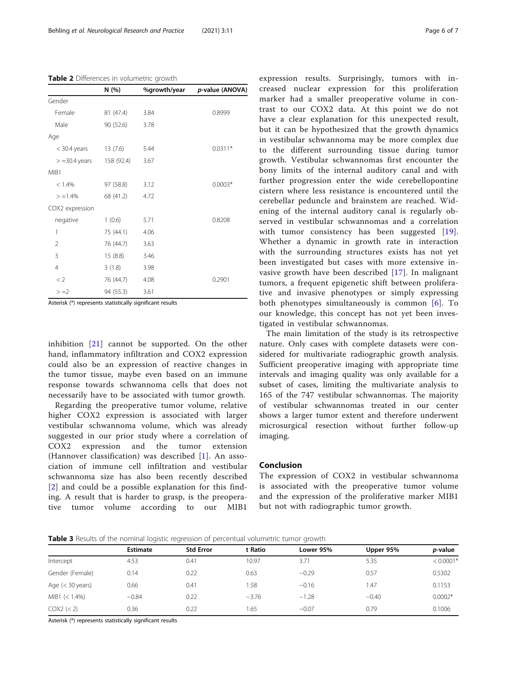<span id="page-5-0"></span>Table 2 Differences in volumetric growth

|                  | N(%)       | %growth/year | p-value (ANOVA) |
|------------------|------------|--------------|-----------------|
| Gender           |            |              |                 |
| Female           | 81 (47.4)  | 3.84         | 0.8999          |
| Male             | 90 (52.6)  | 3.78         |                 |
| Age              |            |              |                 |
| $<$ 30.4 years   | 13(7.6)    | 5.44         | $0.0311*$       |
| $> = 30.4$ years | 158 (92.4) | 3.67         |                 |
| MIB1             |            |              |                 |
| < 1.4%           | 97 (58.8)  | 3.12         | $0.0003*$       |
| $> = 1.4\%$      | 68 (41.2)  | 4.72         |                 |
| COX2 expression  |            |              |                 |
| negative         | 1(0.6)     | 5.71         | 0.8208          |
| 1                | 75 (44.1)  | 4.06         |                 |
| 2                | 76 (44.7)  | 3.63         |                 |
| 3                | 15 (8.8)   | 3.46         |                 |
| $\overline{4}$   | 3(1.8)     | 3.98         |                 |
| $<$ 2            | 76 (44.7)  | 4.08         | 0.2901          |
| $> = 2$          | 94 (55.3)  | 3.61         |                 |

Asterisk (\*) represents statistically significant results

inhibition [[21\]](#page-6-0) cannot be supported. On the other hand, inflammatory infiltration and COX2 expression could also be an expression of reactive changes in the tumor tissue, maybe even based on an immune response towards schwannoma cells that does not necessarily have to be associated with tumor growth.

Regarding the preoperative tumor volume, relative higher COX2 expression is associated with larger vestibular schwannoma volume, which was already suggested in our prior study where a correlation of COX2 expression and the tumor extension (Hannover classification) was described [[1\]](#page-6-0). An association of immune cell infiltration and vestibular schwannoma size has also been recently described [[2](#page-6-0)] and could be a possible explanation for this finding. A result that is harder to grasp, is the preoperative tumor volume according to our MIB1

expression results. Surprisingly, tumors with increased nuclear expression for this proliferation marker had a smaller preoperative volume in contrast to our COX2 data. At this point we do not have a clear explanation for this unexpected result, but it can be hypothesized that the growth dynamics in vestibular schwannoma may be more complex due to the different surrounding tissue during tumor growth. Vestibular schwannomas first encounter the bony limits of the internal auditory canal and with further progression enter the wide cerebellopontine cistern where less resistance is encountered until the cerebellar peduncle and brainstem are reached. Widening of the internal auditory canal is regularly observed in vestibular schwannomas and a correlation with tumor consistency has been suggested [[19](#page-6-0)]. Whether a dynamic in growth rate in interaction with the surrounding structures exists has not yet been investigated but cases with more extensive invasive growth have been described [\[17](#page-6-0)]. In malignant tumors, a frequent epigenetic shift between proliferative and invasive phenotypes or simply expressing both phenotypes simultaneously is common [[6\]](#page-6-0). To our knowledge, this concept has not yet been investigated in vestibular schwannomas.

The main limitation of the study is its retrospective nature. Only cases with complete datasets were considered for multivariate radiographic growth analysis. Sufficient preoperative imaging with appropriate time intervals and imaging quality was only available for a subset of cases, limiting the multivariate analysis to 165 of the 747 vestibular schwannomas. The majority of vestibular schwannomas treated in our center shows a larger tumor extent and therefore underwent microsurgical resection without further follow-up imaging.

#### Conclusion

The expression of COX2 in vestibular schwannoma is associated with the preoperative tumor volume and the expression of the proliferative marker MIB1 but not with radiographic tumor growth.

**Table 3** Results of the nominal logistic regression of percentual volumetric tumor growth

|                          | <b>Estimate</b> | <b>Std Error</b> | t Ratio | Lower 95% | Upper 95% | <i>p</i> -value |
|--------------------------|-----------------|------------------|---------|-----------|-----------|-----------------|
| Intercept                | 4.53            | 0.41             | 10.97   | 3.71      | 5.35      | $< 0.0001*$     |
| Gender (Female)          | 0.14            | 0.22             | 0.63    | $-0.29$   | 0.57      | 0.5302          |
| Age $(30 \text{ years})$ | 0.66            | 0.41             | .58     | $-0.16$   | 1.47      | 0.1153          |
| $MIB1 (< 1.4\%)$         | $-0.84$         | 0.22             | $-3.76$ | $-1.28$   | $-0.40$   | $0.0002*$       |
| COX2 (< 2)               | 0.36            | 0.22             | .65     | $-0.07$   | 0.79      | 0.1006          |
|                          |                 |                  |         |           |           |                 |

Asterisk (\*) represents statistically significant results